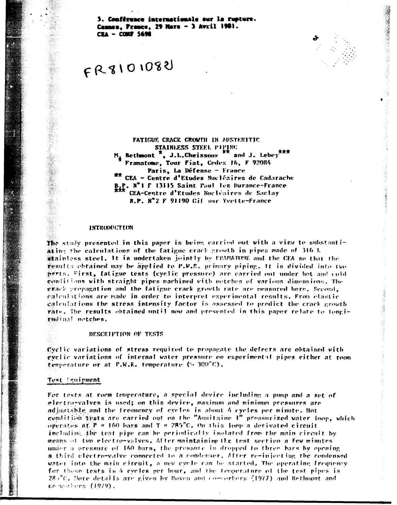5. Conférence internationale sur la rupture. Cannes. Prance. 29 Mars - 3 Avril 1981. **CEA - CONF 5698** 

# $FRSIOIO82$

FATIGUE CRACK CROWTH IN AUSTENITIC STAINLESS STEEL PIPING and J. Lebey  $***$  $M_{\rm r}$  Bethmont  $\overline{R}$ , J.L.Cheissonx Framatome, Tour Fiat, Cedex 16, F 92084 Paris, La Défense - France \*\* CEA - Centre d'Etudes Nucléaires de Cadarache B.P. N°1 F 13115 Saint Paul lez Durance-France CEA-Centre d'Etudes Nucléaires de Saclay B.P. Nº2 F 91190 Cif sur Yvette-France

### **INTRODUCTION**

The study presented in this paper is being carried out with a view to substantiating the calculations of the fatigue crack growth in pipes made of 316 L grainless steel. It is undertaken jointly by FRAMATONE and the CEA so that the results obtained may be applied to P.W.R. primary piping. It is divided into two perts. First, fatigue tests (cyclic pressure) are carried out under hot and cold evalitions with straight pipes machined with netches of various dimensions. The ether propagation and the fatigue crack growth rate are measured here. Second, églentations are made in order to interpret experimental results. From elastic galentations the stress intensity factor is assessed to predict the crack growth vate. The results obtained until now and presented in this paper relate to longirmdinal netches.

#### DESCRIPTION OF TESTS

Evelic variations of stress required to propagate the defects are obtained with evelic variations of internal water pressure on experimental pipes either at room Cemperature or at P.W.R. temperature (% 300°C).

#### Test Equipment

For tests at room temperature, a special device including a pump and a set of electro-valves is used; on this device, maximum and minimum pressures are adjustable and the frequency of eveles is about 4 eveles per minute. Hot condition tests are carried out on the "Aquitaine I" pressurized water loop, which oberates at  $P = 160$  bars and T = 285°C. On this loop a derivated circuit including the test pipe can be periodically isolated from the main circuit by means of two electro-valves. After maintaining the test section a few minutes under a pressure of 160 bars, the pressure is dropped to three bars by opening a third electro-valve connected to a condenser. After re-injecting the condensed water into the main circuit, a new evole can be started. The operating frequency for these tests is 4 evoles per hour, and the temperature of the test pipes is 28)<sup>2</sup>C. Hore details are given by Doven and co-verters (1977) and Bethmont and converters (1979).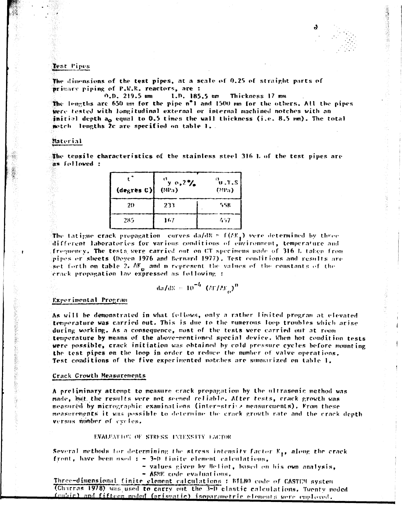**/ <br><br>
<br>
<br>
<br>
<br><br><br><br><br><br><br><br><br><br><br><br><br><br><br><br><br><br><br><br><br><br><br><br><br><br><br>** 

#### **Test l'tpes «»É » i «i il**

The dimensions of the test pipes, at a scale of 0.25 of straight parts of primary piping of P.W.R. reactors, are :

**O.D. 219.5 BIB» I.n. 185.5 Bm Thickness 17 mm** 

**The lengths are 650 mm for the pipe n\*l and 130») mm for the others. All the pipes were tested with longitudinal externat or internal machined notches with an initial depth a<sub>0</sub> equal to 0.5 times the wall thickness (i.e. 8.5 mm). The total notrh lengths 2c are specified on table I. .** 

#### **Waterial <•—• • i •••I— i**

**The tensile characteristics of the stainless steel 316 1. of the test pipes are as followed :** 

| $(\text{de}_{K} \text{res } C)$ | $v_y$ $v_z$ 2%<br>(MPa) | $\sigma_{\mathbf{u},\mathbf{T},\mathbf{S}}$<br>(39a) |  |  |
|---------------------------------|-------------------------|------------------------------------------------------|--|--|
| 20                              | 233                     | 558                                                  |  |  |
| 285                             | 167                     | 457                                                  |  |  |

**The tatigue crack propagation curves da/dN**  $\tau$  **f(AK ) were determined by three different laboratories for various conditions of environment, temperature and t fri"|iieney. The tests were carried out on t'.T specimens made of 316 I. taken from pipes or sheets (Doyen 1976 and Bernard 1977). Test conditions and results are**set forth on table 2.  $\Delta K_{\alpha}$  and n represent the values of the constants of the **crack propagation lav expressed as following :** 

$$
da/dN = 10^{-4} (AY/AE_0)^D
$$

#### **Experimental Program**

**As will be demonstrated in what follows, only a rather limited program at elevated temperature was carried out. This is** *tUw* **to the ruinerons loop troubles which arise during working. As a consequence, most of the tests were carried out at room temperature by means of the above-mentioned special device. When hot condition tests were possible, crack initiation was obtained by cold pressure cycles before mounting the test pipes on the loop in order to reduce the number of valve operations. Test conditions of the five exporimented notches are summarized on table I.** 

**o** 

#### **Crack Growth Measurements**

**A preliminary attempt to measure crack propagation by the ultrasonic method was made, but. the results were not seemed reliable. After tests, crack growth was measured, by micrographie examinai ions (intcr-st ri-.-» measurements). From these measurements' it was possible to determine tin crack p.rowlb rate and the crack depth versus number of cycles,** 

#### **RVAUEAT LOV OF STRESS ENTENSITY FACTOR**

Several methods for determining the stress intensity factor K<sub>19</sub> along the crack front, have been used  $t = 3-0$  finite element calculations,

- **values riven by Meliol, based on his own analysis,**
- **ASMK code evaluations.**

**Three-dimensional finite element calculations** *:* **ftTLJMl code of CASTI'.M system (Charms 1978) was, used to carry out. the 3-D clastic calculations. Twenty noded**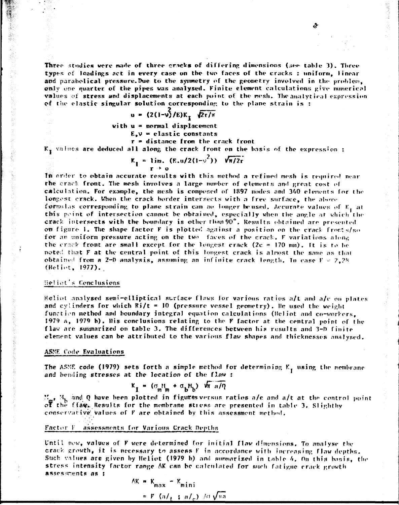**Three studies were made of three cracks of differing dimensions (see table 3). Three types of loadings act in every case on the two faces of the cracks : uniform, linear and parabolical pressure.Bue to the symmetry of the geometry involved in the problem,**   $\phi$ nly one quarter of the pipes was analysed. Finite element calculations give numerical **values of stress and displacements at each point of the mesh. The analytirai expression of the elastic singular solution corresponding to the plane strain is :** 

 $\mathbf{v}$ 

$$
u = (2(1-\sqrt{2})E)K_{\tau} \sqrt{2\tau/\pi}
$$

**with u » normal displacement** 

**F.,v = elastic constants** 

**r » distance from the crack front** 

**K. values are deduced all along the crack front on the basis of the expression :** 

$$
K_{\text{I}} = \lim_{\text{r} \to 0} (E.u/2(1-v^2)) \sqrt{\pi/2r}
$$

**In order to obtain accurate results with this method a refined mesh is required near rhe crack front. The mesh involves a large number of element»; and great cost of calculation. For example, the mesh is composed of 1897 nodes and 340 elements for the longest crack. When the crack border intersects with a free surface, the above**  formulas corresponding to plane strain can no longer beused. Accurate values of K, at **this point of intersection cannot be obtained, especially when the angle at which the crack intersects with the boundary is other than 90\*. Results obtained are presented on figure 1. The shape factor F is plotted against a position on the crack fronts/so for an uniform pressure acting on the two faces of the crack. F variations along the crncrk front are small except for the longest crack (2c = 170 mm). It is to be**  noted that **F** at the central point of this longest crack is almost the same as that  $\delta$ btained from a 2-D analysis, assuming an infinite crack length. In case  $F = 2,28$ **(Heliot, 1977).** 

## **•let iot's Tone I us ions**

*H-*

**Heliot analysed semi-elliptical surface flaws for various ratios a/t and a/c on plates**  and cylinders for which  $Ri/t = 10$  (pressure vessel geometry). He used the weight function method and boundary integral equation calculations (Heliot and co-workers, **1979 a, 1979 b). His conclusions relating to the F factor at. the central point of the flaw are summarized on table 3. The differences between his results and 3-D finite element values can be attributed to the various flaw shapes and thicknesses analysed.** 

#### **A5MF (ode Evaluations**

*mmtm\*\*mi* **i i i i n •** 

The ASME code (1979) sets forth a simple method for determining K<sub>T</sub> using the membrane **and bending stresses at the location of the flaw •** 

$$
K_{\mathbf{I}} = (\sigma_{m,m}^{\mathbf{N}} + \sigma_{b}^{\mathbf{N}}) \sqrt{m a/n}
$$

**\*' . M. and Q have been plotted in figures versus ratios n/c and a/t at the control point of Che fla<fv- Results for the membrane stiess are presented in table 3. Slighthy conservative', values of F are obtained by this assessment method.** 

#### **Factor 1 assessments for Various Crack Depths**

**t'ntil now, values of F were determined for initial flaw dimensions. To analyse the**  crack growth, it is necessary to assess F in accordance with increasing flaw depths. Such values are given by Heliot (1979 b) and summarized in table 4, On this basis, the stress intensity factor range AK can be calculated for such fatigue crack growth **assesf.nents as :** 

$$
AK = K_{max} = K_{mini}
$$
  
=  $F (a/1 + a/2) \wedge \sigma \sqrt{\pi a}$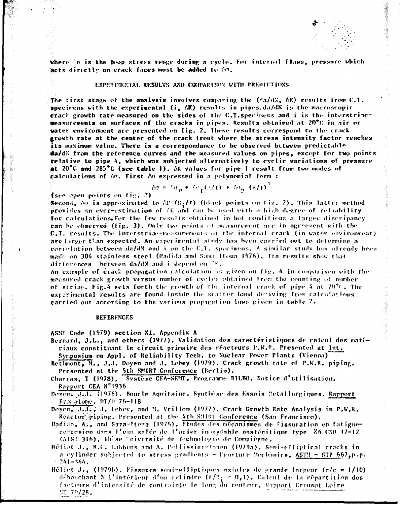

Where in is the wop stress range during a cycle. For internal flaws, pressure which acts directly on crack faces must be added to An.

#### EXPERIMENTAL RESULTS AND CONPARISON WITH PREDICTIONS

The first stage of the analysis involves comparing the  $(d\alpha/dN_s, \Delta K)$  results from C.T. specimens with the experimental  $(i, \Delta K)$  results in pipes.da/dN is the macroscopic grack growth rate measured on the sides of the C.T. specimens and i is the interstriacmeasurements on surfaces of the cracks in pipes. Results obtained at 20°C in air or water environment are presented on fig. 2. These results correspond to the crack growth rate at the center of the crack front where the stress intensity factor reaches its maximum value. There is a correspondance to be observed between predictable  $\ddot{\mathbf{a}}$ a/d $\ddot{\mathbf{x}}$  from the reference curves and the measured values on pipes, except for two points relative to pipe 4, which was subjected alternatively to cyclic variations of pressure at  $20^{\circ}$ C and  $285^{\circ}$ C (see table 1). AK values for pipe 1 result from two modes of ealculations of  $M$ . First  $M$  expressed in a polynomial form :

$$
-\hbar\sigma = \hbar\sigma_{\rm m} + \hbar\sigma_{\rm s}(r/t) + \hbar\sigma_{\rm m}(x/t)^{-1}
$$

(see open points on  $f(x, 2)$ )

Second, Ao is approximated to AP (R<sub>i</sub>/t) (black points on fig. 2). This Jatter method provides an over-estimation of  $/\mathbb{R}$  and can be used with a high degree of reliability. for calculations. For the few results obtained in hot conditions a larger discripancy can be observed (fig. 3). Only two points of measurement are in agreement with the  $C,T$ , results. The interstriae-measurements of the internal crack (in water environment) are larger than expected. An experimental study has been carried out to determine a correlation between da/dN and i on the C.T. specimens. A similar study has already been made on 304 stainless steel (Hadida and Sama Itoua 1976). Its results show that differences between da/dN and i depend on TF.

An example of crack propagation calculation is given on fig. 4 in comparison with the measured crack growth versus number of cycles obtained from the counting of number of striae. Fig.4 sets forth the growth of the internal crack of pipe 4 at 20°C. The experimental results are found inside the scatter band deriving from calculations carried out according to the various propagation laws given in table 2.

#### **REFERENCES**

ASNE Code (1979) section XI. Appendix A

- Bernard, J.L., and others (1977). Validation des caractéristiques de calcul des matériaux constituant le circuit primaire des réacteurs P.W.R. Presented at Int.
- Symposium on Appl. of Reliability Tech. to Nuclear Power Plants (Vienna)
- Bethmont, M., J.J. Doyen and J. Lebey (1979). Crack growth rate of P.W.R. piping. Presented at the 5th SMIRT Conference (Berlin).

Charras, T (1978), Système CEA-SEMT. Programme BILBO. Notice d'utilisation. Rapport CEA N°1936

Doven, J.J., (1976). Boucle Aquitaine. Synthese des Essais Metallurgiques. Rapport Framatome, DT/D 76-118

Doyen, J.J., J., Lebey, and M. Vrillon (1977). Crack Growth Rate Analysis in P.W.R. Reactor piping. Presented at the 4th SMIRT Conference (San Francisco).

Hadida, Al, and Savanttona (1976). Etudes des mécanismes de fissuration en fatiguecorrosion dans l'eau salée de l'acier inoxydable austénitique type. Z6 CND 17-12 (AISI 316). Thèse "niversité de Technologie de Compiègne.

Héliot J., R.C. Labbens and A. Pellissier-Tanon (1979a). Semi-elliptical cracks in a cylinder subjected to stress gradients - Fracture Mechanics, <u>ASTM - STP 6</u>67,p.p.  $-241 - 364.$ 

Héliet J., (1979b). Fissures semi-elliptiques axiales de grande largeur (a/c = 1/10) débouchant à l'intérieur d'un cylindre (t/R;  $\approx 0$ ,1). Calcul de la répartition des facteurs d'intensité de contrainte le long du conteur. Rapport Creuset Loire  $NT 79/28.$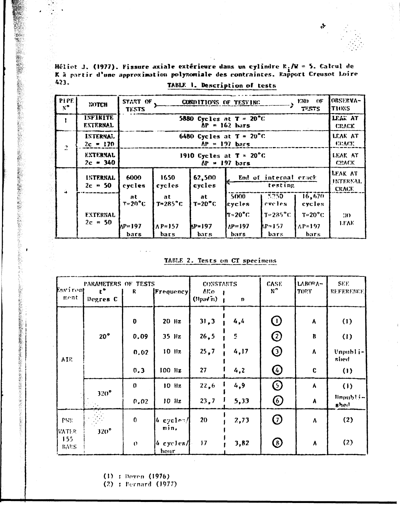Héliot J. (1977). Fissure axiale extérieure dans un cylindre  $R_1/W = 5$ . Calcul de<br>  $R$  à partir d'une approximation polynomiale des contraintes. Rapport Creusot Loire 423. TABLE 1. Description of tests

Ç.

 $\mathbf{r}$ 

| PIPE  <br>$x^{\bullet}$ | NOTCH                              | START OF<br><b>TESTS</b> |                                                                                   |                         | CONDITIONS OF TESTING |                     | END OF<br>TESTS         | OBSERVA-<br><b>TIONS</b> |  |  |  |  |
|-------------------------|------------------------------------|--------------------------|-----------------------------------------------------------------------------------|-------------------------|-----------------------|---------------------|-------------------------|--------------------------|--|--|--|--|
|                         | <b>INFINITE</b><br><b>EXTERNAL</b> |                          | LEAK AT<br>5880 Cycles at $T = 20^{\circ}C$<br>$\Delta P = 162$ bars              |                         |                       |                     |                         |                          |  |  |  |  |
| $\mathbf{r}$            | INTERNAL<br>$2c = 170$             |                          | 6480 Cycles at $T = 20^{\circ}C$<br>LEAK AT<br>$AP = 197$ bars                    |                         |                       |                     |                         |                          |  |  |  |  |
|                         | <b>EXTERNAL</b><br>$2c = 340$      |                          | LEAK AT<br>1910 Cycles at $T = 20^{\circ}C$<br>$\Delta P = 197$ bars              |                         |                       |                     |                         |                          |  |  |  |  |
| ú.                      | <b>INTERNAL</b><br>$2c = 50$       | 6000<br>cycles           | LEAK AT<br>1650<br>62,500<br>End of internal crack<br>testing<br>cycles<br>cycles |                         |                       |                     |                         |                          |  |  |  |  |
|                         |                                    | at<br>$T = 20^{\circ}C$  | at<br>$T = 285$ °C                                                                | at<br>$T = 20^{\circ}C$ | 5000<br>cycles        | $5750 -$<br>cveles. | 16,670<br>cycles        |                          |  |  |  |  |
|                         | <b>EXTERNAL</b>                    |                          |                                                                                   |                         | $T = 20^{\circ}$ C    | $T = 285$ °C        | $T=20^{\circ}$ C        | $\mathbf{30}$            |  |  |  |  |
|                         | $2c = 50$                          | $NP=197$<br>bars         | $\Lambda$ P=157<br>bars                                                           | $NP = 197$<br>bar s     | $AP=197$<br>bars      | kp=157<br>bars      | $\Lambda$ P=197<br>bars | LEAK                     |  |  |  |  |

|  |  | TABLE 2. Tests on CT specimens |
|--|--|--------------------------------|
|  |  |                                |

| Environt<br>ment           | PARAMETERS OF TESTS<br>$\mathbf{t}^{\bullet}$<br>Degres C | R            | <b>Frequency</b>                   | <b>CONSTARTS</b><br>AKo.<br>$(\text{Npa/m})$ | n    | <b>CASE</b><br>$N^{\prime}$ | LABORA-<br>TOPY | SEE.<br>REFERENCE.           |
|----------------------------|-----------------------------------------------------------|--------------|------------------------------------|----------------------------------------------|------|-----------------------------|-----------------|------------------------------|
|                            |                                                           | $\bf{0}$     | $20$ Hz                            | 31, 3                                        | 4,4  | $\bigcirc$                  | A               | (1)                          |
|                            | 20°                                                       | 0.09         | $35$ Hz                            | 26, 5                                        | 5    | $\bigcirc$                  | B               | (1)                          |
| AIR.                       |                                                           | 0.02         | $10$ $\text{Hz}$                   | 25,7                                         | 4,17 | $\odot$                     | ٨               | Unpubli-<br>shed             |
|                            |                                                           | 0.3          | $100$ Hz                           | 27                                           | 4,2  | $\bigcirc$                  | $\mathbf{C}$    | (1)                          |
|                            |                                                           | $\mathbf{0}$ | $10$ Hz                            | 22,6                                         | 4.9  | $\odot$                     | A               | (1)                          |
|                            | $320^\circ$                                               | 0.02         | $10$ Hz                            | 23,7                                         | 5,33 | $\bigcirc$                  | A               | $Iimplify! -$<br><b>shed</b> |
| PWR<br><b><i>MATER</i></b> | $320^\circ$                                               | $\bf{0}$     | $ 4$ cycles/<br>min.               | 20                                           | 2,73 | $\odot$                     | ٨               | (2)                          |
| 155<br>BARS                |                                                           | $\mathbf{U}$ | $4 \frac{1}{2}$ cycles $/$<br>hour | 17                                           | 3,82 | $\odot$                     | ٨               | (2)                          |

 $(1)$ : Doyen  $(1976)$ 

 $(2)$ : Bernard  $(1977)$ 

 $\mathbf{r}$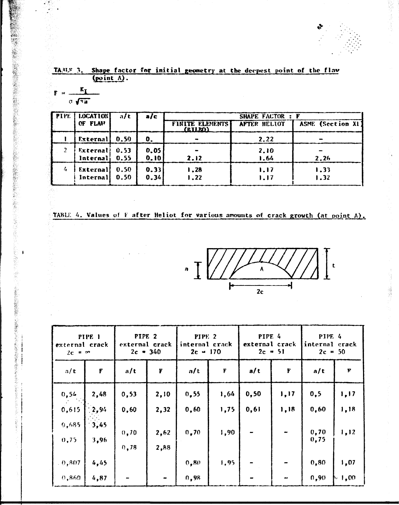**£-**

## TA.<sup>31,5</sup> 3. Shape factor for initial geometry at the deepest point of the flav **(point A) .**

$$
\mathbf{F} = \frac{\mathbf{K}_{\mathbf{I}}}{\sigma \sqrt{\pi \mathbf{a}}}
$$

**製品の最後の大型の製品を設計したが、そのような、そのような、そのような、そのような、そのような、そのような、そのような、そのような、そのような、そのような、そのような、そのような、そのような、そのような、そのような、そのものは、そのような、そのような、そのような、そのような、そのような、そのような、そのような、そのような、そのような、そのような、そのような、そのような、そのような、そのような、そのような、そのような、そのような、そのよう** 

 $\pmb{\ast}$ 

 $\mathbf{I}$  $\frac{1}{2}$ 

| <b>FPIPE</b> | <b>LOCATION</b>             | a/t          | a/c          |                                   | <b>SHAPE FACTOR : F</b> |                   |
|--------------|-----------------------------|--------------|--------------|-----------------------------------|-------------------------|-------------------|
|              | OF FLAV                     |              |              | <b>FINITE ELEMENTS</b><br>(EILRO) | AFTER HELIOT            | ASME (Section XI) |
|              | External                    | 0.50         | 0.           |                                   | 2.22                    |                   |
|              | External<br>$Interval$ 0.55 | 0.53         | 0.05<br>0.10 | 2.12                              | 2.10<br>1.64            | 2.26              |
|              | External<br>Internal        | 0.50<br>0.50 | 0.33<br>0.34 | 1,28<br>1.22                      | 1.17<br>1.17            | 1.33<br>1.32      |

# **TABLE 4. Values of F after Heliot for Various amounts of crack growth (at point A) .**

 $\mathcal{A}$ 



| PIPE <sub>1</sub><br>external crack<br>$2c = \infty$ |                    | PIPE <sub>2</sub><br>external crack<br>$2c = 340$ |              | PIPE <sub>2</sub><br>internal crack<br>$2c = 170$ |                    | PIPE 4<br>external crack<br>$2c = 51$ |                          | <b>PIPE 4</b><br>internal crack<br>$2c = 50$ |            |
|------------------------------------------------------|--------------------|---------------------------------------------------|--------------|---------------------------------------------------|--------------------|---------------------------------------|--------------------------|----------------------------------------------|------------|
| a/t                                                  | $\pmb{\mathbf{F}}$ | a/t                                               | $\mathbf F$  | a/t                                               | $\pmb{\mathsf{F}}$ | a/t                                   | F                        | a/t                                          | F          |
| 0,54                                                 | 2,48               | 0,53                                              | 2,10         | 0,55                                              | 1,64               | 0, 50                                 | 1,17                     | 0, 5                                         | 1,17       |
| 0,615                                                | 12,94              | 0,60                                              | 2,32         | 0,60                                              | 1,75               | 0,61                                  | 1,18                     | 0,60                                         | 1,18       |
| 9,685<br>0,75                                        | 3,45<br>3,96       | 0, 70<br>0, 78                                    | 2,62<br>2,88 | 0, 70                                             | 1,90               |                                       |                          | 0,70<br>0,75                                 | 1, 12      |
| $-0,807$                                             | 4,45               |                                                   |              | 0,80                                              | 1,95               |                                       |                          | 0, 80                                        | 1,07       |
| 0,860                                                | 4,87               | -                                                 |              | 0, 98                                             |                    |                                       | $\overline{\phantom{a}}$ | 0,90                                         | $\mu$ 1.00 |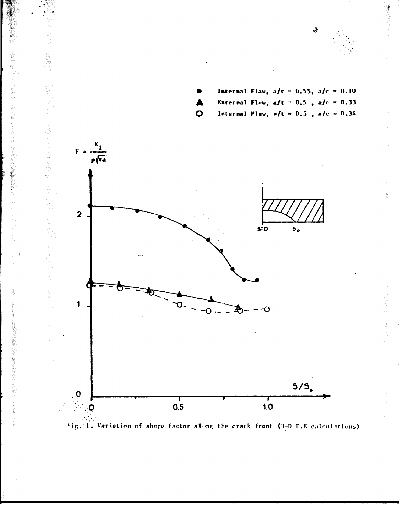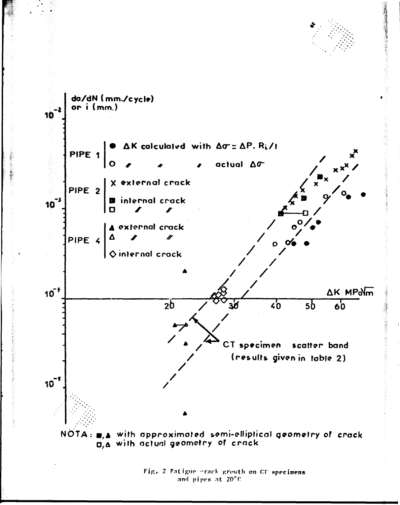

Fig. 2 Fatigue crack growth on CT specimens and pipes at 20°C